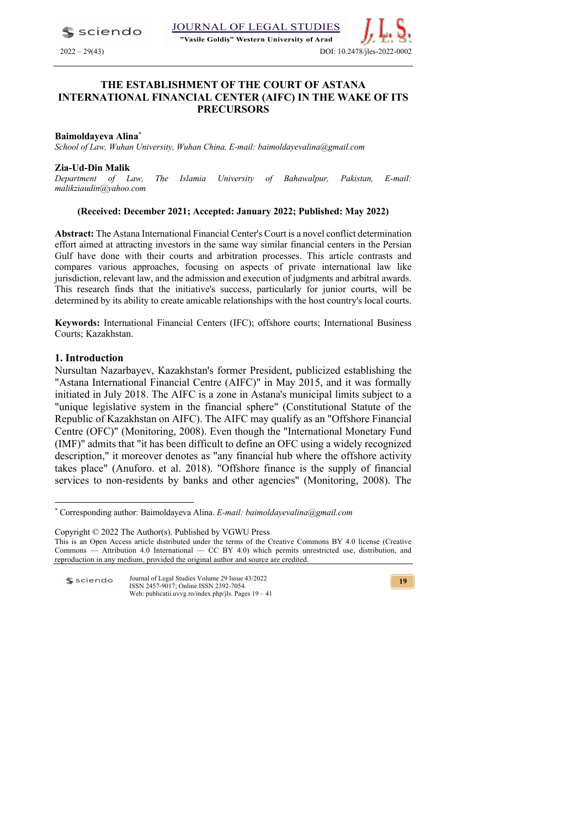

"Vasile Goldis" Western University of Arad

# **THE ESTABLISHMENT OF THE COURT OF ASTANA INTERNATIONAL FINANCIAL CENTER (AIFC) IN THE WAKE OF ITS PRECURSORS**

#### **Baimoldayeva Alina\***

*School of Law, Wuhan University, Wuhan China, E-mail: baimoldayevalina@gmail.com*

#### **Zia-Ud-Din Malik**

*Department of Law, The Islamia University of Bahawalpur, Pakistan, E-mail: malikziaudin@yahoo.com* 

#### **(Received: December 2021; Accepted: January 2022; Published: May 2022)**

**Abstract:** The Astana International Financial Center's Court is a novel conflict determination effort aimed at attracting investors in the same way similar financial centers in the Persian Gulf have done with their courts and arbitration processes. This article contrasts and compares various approaches, focusing on aspects of private international law like jurisdiction, relevant law, and the admission and execution of judgments and arbitral awards. This research finds that the initiative's success, particularly for junior courts, will be determined by its ability to create amicable relationships with the host country's local courts.

**Keywords:** International Financial Centers (IFC); offshore courts; International Business Courts; Kazakhstan.

#### **1. Introduction**

Nursultan Nazarbayev, Kazakhstan's former President, publicized establishing the "Astana International Financial Centre (AIFC)" in May 2015, and it was formally initiated in July 2018. The AIFC is a zone in Astana's municipal limits subject to a "unique legislative system in the financial sphere" (Constitutional Statute of the Republic of Kazakhstan on AIFC). The AIFC may qualify as an "Offshore Financial Centre (OFC)" (Monitoring, 2008). Even though the "International Monetary Fund (IMF)" admits that "it has been difficult to define an OFC using a widely recognized description," it moreover denotes as "any financial hub where the offshore activity takes place" (Anuforo. et al. 2018). "Offshore finance is the supply of financial services to non-residents by banks and other agencies" (Monitoring, 2008). The

Copyright © 2022 The Author(s). Published by VGWU Press This is an Open Access article distributed under the terms of the Creative Commons BY 4.0 license (Creative

Journal of Legal Studies Volume 29 Issue 43/2022 **S** sciendo ISSN 2457-9017; Online ISSN 2392-7054. Web: publicatii.uvvg.ro/index.php/jls. Pages 19 – 41

<sup>\*</sup> Corresponding author: Baimoldayeva Alina. *E-mail: baimoldayevalina@gmail.com*

Commons — Attribution 4.0 International — CC BY 4.0) which permits unrestricted use, distribution, and reproduction in any medium, provided the original author and source are credited.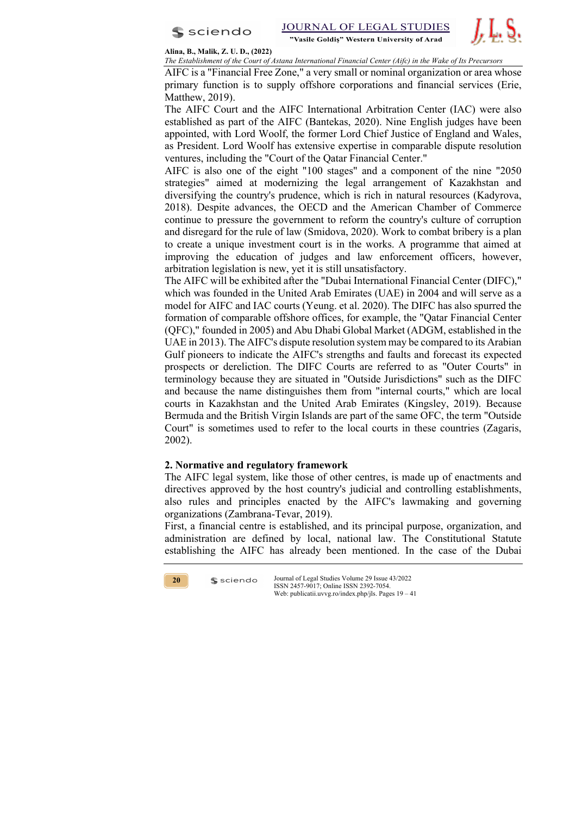



**Alina, B., Malik, Z. U. D., (2022)**

*The Establishment of the Court of Astana International Financial Center (Aifc) in the Wake of Its Precursors* 

AIFC is a "Financial Free Zone," a very small or nominal organization or area whose primary function is to supply offshore corporations and financial services (Erie, Matthew, 2019).

The AIFC Court and the AIFC International Arbitration Center (IAC) were also established as part of the AIFC (Bantekas, 2020). Nine English judges have been appointed, with Lord Woolf, the former Lord Chief Justice of England and Wales, as President. Lord Woolf has extensive expertise in comparable dispute resolution ventures, including the "Court of the Qatar Financial Center."

AIFC is also one of the eight "100 stages" and a component of the nine "2050 strategies" aimed at modernizing the legal arrangement of Kazakhstan and diversifying the country's prudence, which is rich in natural resources (Kadyrova, 2018). Despite advances, the OECD and the American Chamber of Commerce continue to pressure the government to reform the country's culture of corruption and disregard for the rule of law (Smidova, 2020). Work to combat bribery is a plan to create a unique investment court is in the works. A programme that aimed at improving the education of judges and law enforcement officers, however, arbitration legislation is new, yet it is still unsatisfactory.

The AIFC will be exhibited after the "Dubai International Financial Center (DIFC)," which was founded in the United Arab Emirates (UAE) in 2004 and will serve as a model for AIFC and IAC courts (Yeung. et al. 2020). The DIFC has also spurred the formation of comparable offshore offices, for example, the "Qatar Financial Center (QFC)," founded in 2005) and Abu Dhabi Global Market (ADGM, established in the UAE in 2013). The AIFC's dispute resolution system may be compared to its Arabian Gulf pioneers to indicate the AIFC's strengths and faults and forecast its expected prospects or dereliction. The DIFC Courts are referred to as "Outer Courts" in terminology because they are situated in "Outside Jurisdictions" such as the DIFC and because the name distinguishes them from "internal courts," which are local courts in Kazakhstan and the United Arab Emirates (Kingsley, 2019). Because Bermuda and the British Virgin Islands are part of the same OFC, the term "Outside Court" is sometimes used to refer to the local courts in these countries (Zagaris, 2002).

## **2. Normative and regulatory framework**

 $s$  sciendo

The AIFC legal system, like those of other centres, is made up of enactments and directives approved by the host country's judicial and controlling establishments, also rules and principles enacted by the AIFC's lawmaking and governing organizations (Zambrana-Tevar, 2019).

First, a financial centre is established, and its principal purpose, organization, and administration are defined by local, national law. The Constitutional Statute establishing the AIFC has already been mentioned. In the case of the Dubai

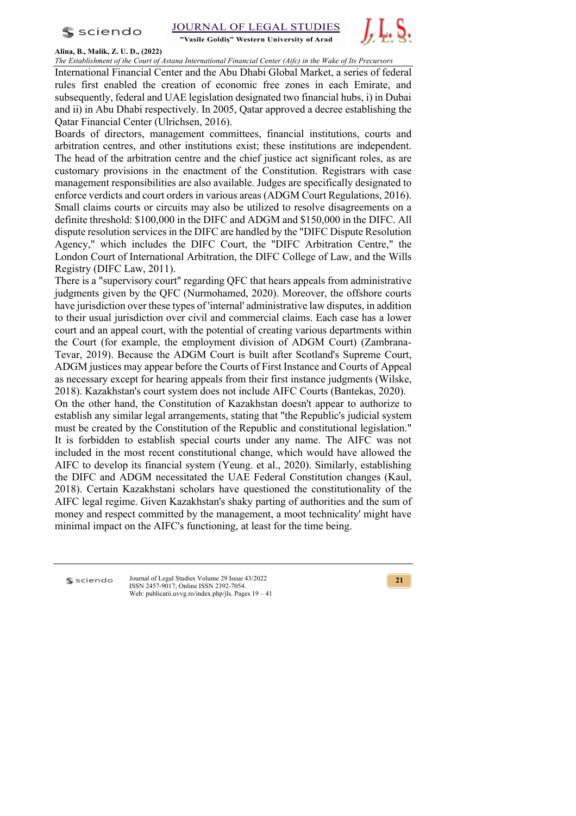$s$  sciendo





## **Alina, B., Malik, Z. U. D., (2022)**

*The Establishment of the Court of Astana International Financial Center (Aifc) in the Wake of Its Precursors*

International Financial Center and the Abu Dhabi Global Market, a series of federal rules first enabled the creation of economic free zones in each Emirate, and subsequently, federal and UAE legislation designated two financial hubs, i) in Dubai and ii) in Abu Dhabi respectively. In 2005, Qatar approved a decree establishing the Qatar Financial Center (Ulrichsen, 2016).

Boards of directors, management committees, financial institutions, courts and arbitration centres, and other institutions exist; these institutions are independent. The head of the arbitration centre and the chief justice act significant roles, as are customary provisions in the enactment of the Constitution. Registrars with case management responsibilities are also available. Judges are specifically designated to enforce verdicts and court orders in various areas (ADGM Court Regulations, 2016). Small claims courts or circuits may also be utilized to resolve disagreements on a definite threshold: \$100,000 in the DIFC and ADGM and \$150,000 in the DIFC. All dispute resolution services in the DIFC are handled by the "DIFC Dispute Resolution Agency," which includes the DIFC Court, the "DIFC Arbitration Centre," the London Court of International Arbitration, the DIFC College of Law, and the Wills Registry (DIFC Law, 2011).

There is a "supervisory court" regarding QFC that hears appeals from administrative judgments given by the QFC (Nurmohamed, 2020). Moreover, the offshore courts have jurisdiction over these types of 'internal' administrative law disputes, in addition to their usual jurisdiction over civil and commercial claims. Each case has a lower court and an appeal court, with the potential of creating various departments within the Court (for example, the employment division of ADGM Court) (Zambrana-Tevar, 2019). Because the ADGM Court is built after Scotland's Supreme Court, ADGM justices may appear before the Courts of First Instance and Courts of Appeal as necessary except for hearing appeals from their first instance judgments (Wilske, 2018). Kazakhstan's court system does not include AIFC Courts (Bantekas, 2020).

On the other hand, the Constitution of Kazakhstan doesn't appear to authorize to establish any similar legal arrangements, stating that "the Republic's judicial system must be created by the Constitution of the Republic and constitutional legislation." It is forbidden to establish special courts under any name. The AIFC was not included in the most recent constitutional change, which would have allowed the AIFC to develop its financial system (Yeung. et al., 2020). Similarly, establishing the DIFC and ADGM necessitated the UAE Federal Constitution changes (Kaul, 2018). Certain Kazakhstani scholars have questioned the constitutionality of the AIFC legal regime. Given Kazakhstan's shaky parting of authorities and the sum of money and respect committed by the management, a moot technicality' might have minimal impact on the AIFC's functioning, at least for the time being.

**S** sciendo

Journal of Legal Studies Volume 29 Issue 43/2022 ISSN 2457-9017; Online ISSN 2392-7054. Web: publicatii.uvvg.ro/index.php/jls. Pages 19 – 41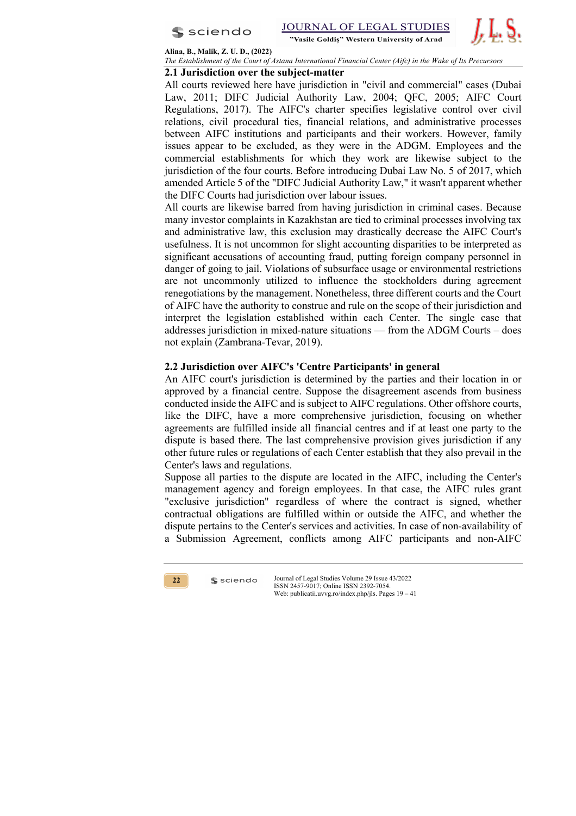



**Alina, B., Malik, Z. U. D., (2022)**

*The Establishment of the Court of Astana International Financial Center (Aifc) in the Wake of Its Precursors* 

## **2.1 Jurisdiction over the subject-matter**

All courts reviewed here have jurisdiction in "civil and commercial" cases (Dubai Law, 2011; DIFC Judicial Authority Law, 2004; QFC, 2005; AIFC Court Regulations, 2017). The AIFC's charter specifies legislative control over civil relations, civil procedural ties, financial relations, and administrative processes between AIFC institutions and participants and their workers. However, family issues appear to be excluded, as they were in the ADGM. Employees and the commercial establishments for which they work are likewise subject to the jurisdiction of the four courts. Before introducing Dubai Law No. 5 of 2017, which amended Article 5 of the "DIFC Judicial Authority Law," it wasn't apparent whether the DIFC Courts had jurisdiction over labour issues.

All courts are likewise barred from having jurisdiction in criminal cases. Because many investor complaints in Kazakhstan are tied to criminal processes involving tax and administrative law, this exclusion may drastically decrease the AIFC Court's usefulness. It is not uncommon for slight accounting disparities to be interpreted as significant accusations of accounting fraud, putting foreign company personnel in danger of going to jail. Violations of subsurface usage or environmental restrictions are not uncommonly utilized to influence the stockholders during agreement renegotiations by the management. Nonetheless, three different courts and the Court of AIFC have the authority to construe and rule on the scope of their jurisdiction and interpret the legislation established within each Center. The single case that addresses jurisdiction in mixed-nature situations — from the ADGM Courts – does not explain (Zambrana-Tevar, 2019).

## **2.2 Jurisdiction over AIFC's 'Centre Participants' in general**

An AIFC court's jurisdiction is determined by the parties and their location in or approved by a financial centre. Suppose the disagreement ascends from business conducted inside the AIFC and is subject to AIFC regulations. Other offshore courts, like the DIFC, have a more comprehensive jurisdiction, focusing on whether agreements are fulfilled inside all financial centres and if at least one party to the dispute is based there. The last comprehensive provision gives jurisdiction if any other future rules or regulations of each Center establish that they also prevail in the Center's laws and regulations.

Suppose all parties to the dispute are located in the AIFC, including the Center's management agency and foreign employees. In that case, the AIFC rules grant "exclusive jurisdiction" regardless of where the contract is signed, whether contractual obligations are fulfilled within or outside the AIFC, and whether the dispute pertains to the Center's services and activities. In case of non-availability of a Submission Agreement, conflicts among AIFC participants and non-AIFC



 $s$  sciendo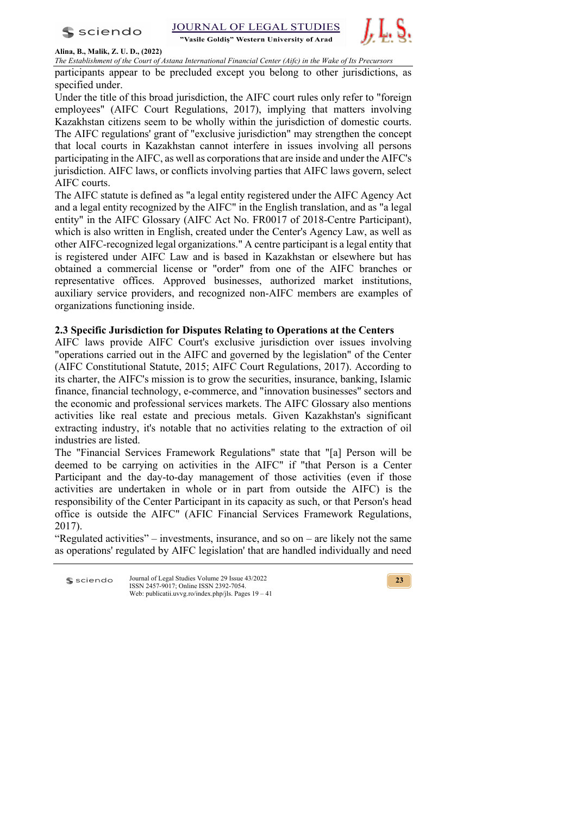$s$  sciendo

JOURNAL OF LEGAL STUDIES "Vasile Goldis" Western University of Arad



#### **Alina, B., Malik, Z. U. D., (2022)**

*The Establishment of the Court of Astana International Financial Center (Aifc) in the Wake of Its Precursors*

participants appear to be precluded except you belong to other jurisdictions, as specified under.

Under the title of this broad jurisdiction, the AIFC court rules only refer to "foreign employees" (AIFC Court Regulations, 2017), implying that matters involving Kazakhstan citizens seem to be wholly within the jurisdiction of domestic courts. The AIFC regulations' grant of "exclusive jurisdiction" may strengthen the concept that local courts in Kazakhstan cannot interfere in issues involving all persons participating in the AIFC, as well as corporations that are inside and under the AIFC's jurisdiction. AIFC laws, or conflicts involving parties that AIFC laws govern, select AIFC courts.

The AIFC statute is defined as "a legal entity registered under the AIFC Agency Act and a legal entity recognized by the AIFC" in the English translation, and as "a legal entity" in the AIFC Glossary (AIFC Act No. FR0017 of 2018-Centre Participant), which is also written in English, created under the Center's Agency Law, as well as other AIFC-recognized legal organizations." A centre participant is a legal entity that is registered under AIFC Law and is based in Kazakhstan or elsewhere but has obtained a commercial license or "order" from one of the AIFC branches or representative offices. Approved businesses, authorized market institutions, auxiliary service providers, and recognized non-AIFC members are examples of organizations functioning inside.

## **2.3 Specific Jurisdiction for Disputes Relating to Operations at the Centers**

AIFC laws provide AIFC Court's exclusive jurisdiction over issues involving "operations carried out in the AIFC and governed by the legislation" of the Center (AIFC Constitutional Statute, 2015; AIFC Court Regulations, 2017). According to its charter, the AIFC's mission is to grow the securities, insurance, banking, Islamic finance, financial technology, e-commerce, and "innovation businesses" sectors and the economic and professional services markets. The AIFC Glossary also mentions activities like real estate and precious metals. Given Kazakhstan's significant extracting industry, it's notable that no activities relating to the extraction of oil industries are listed.

The "Financial Services Framework Regulations" state that "[a] Person will be deemed to be carrying on activities in the AIFC" if "that Person is a Center Participant and the day-to-day management of those activities (even if those activities are undertaken in whole or in part from outside the AIFC) is the responsibility of the Center Participant in its capacity as such, or that Person's head office is outside the AIFC" (AFIC Financial Services Framework Regulations, 2017).

"Regulated activities" – investments, insurance, and so on – are likely not the same as operations' regulated by AIFC legislation' that are handled individually and need

Journal of Legal Studies Volume 29 Issue 43/2022 s sciendo ISSN 2457-9017; Online ISSN 2392-7054. Web: publicatii.uvvg.ro/index.php/jls. Pages 19 – 41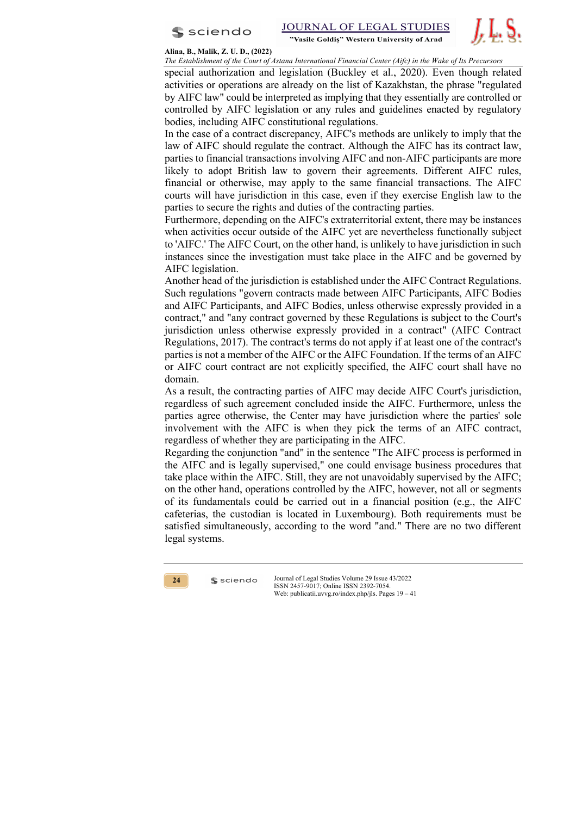



**Alina, B., Malik, Z. U. D., (2022)**

*The Establishment of the Court of Astana International Financial Center (Aifc) in the Wake of Its Precursors* 

special authorization and legislation (Buckley et al., 2020). Even though related activities or operations are already on the list of Kazakhstan, the phrase "regulated by AIFC law" could be interpreted as implying that they essentially are controlled or controlled by AIFC legislation or any rules and guidelines enacted by regulatory bodies, including AIFC constitutional regulations.

In the case of a contract discrepancy, AIFC's methods are unlikely to imply that the law of AIFC should regulate the contract. Although the AIFC has its contract law, parties to financial transactions involving AIFC and non-AIFC participants are more likely to adopt British law to govern their agreements. Different AIFC rules, financial or otherwise, may apply to the same financial transactions. The AIFC courts will have jurisdiction in this case, even if they exercise English law to the parties to secure the rights and duties of the contracting parties.

Furthermore, depending on the AIFC's extraterritorial extent, there may be instances when activities occur outside of the AIFC yet are nevertheless functionally subject to 'AIFC.' The AIFC Court, on the other hand, is unlikely to have jurisdiction in such instances since the investigation must take place in the AIFC and be governed by AIFC legislation.

Another head of the jurisdiction is established under the AIFC Contract Regulations. Such regulations "govern contracts made between AIFC Participants, AIFC Bodies and AIFC Participants, and AIFC Bodies, unless otherwise expressly provided in a contract," and "any contract governed by these Regulations is subject to the Court's jurisdiction unless otherwise expressly provided in a contract" (AIFC Contract Regulations, 2017). The contract's terms do not apply if at least one of the contract's parties is not a member of the AIFC or the AIFC Foundation. If the terms of an AIFC or AIFC court contract are not explicitly specified, the AIFC court shall have no domain.

As a result, the contracting parties of AIFC may decide AIFC Court's jurisdiction, regardless of such agreement concluded inside the AIFC. Furthermore, unless the parties agree otherwise, the Center may have jurisdiction where the parties' sole involvement with the AIFC is when they pick the terms of an AIFC contract, regardless of whether they are participating in the AIFC.

Regarding the conjunction "and" in the sentence "The AIFC process is performed in the AIFC and is legally supervised," one could envisage business procedures that take place within the AIFC. Still, they are not unavoidably supervised by the AIFC; on the other hand, operations controlled by the AIFC, however, not all or segments of its fundamentals could be carried out in a financial position (e.g., the AIFC cafeterias, the custodian is located in Luxembourg). Both requirements must be satisfied simultaneously, according to the word "and." There are no two different legal systems.

**24**

 $s$  sciendo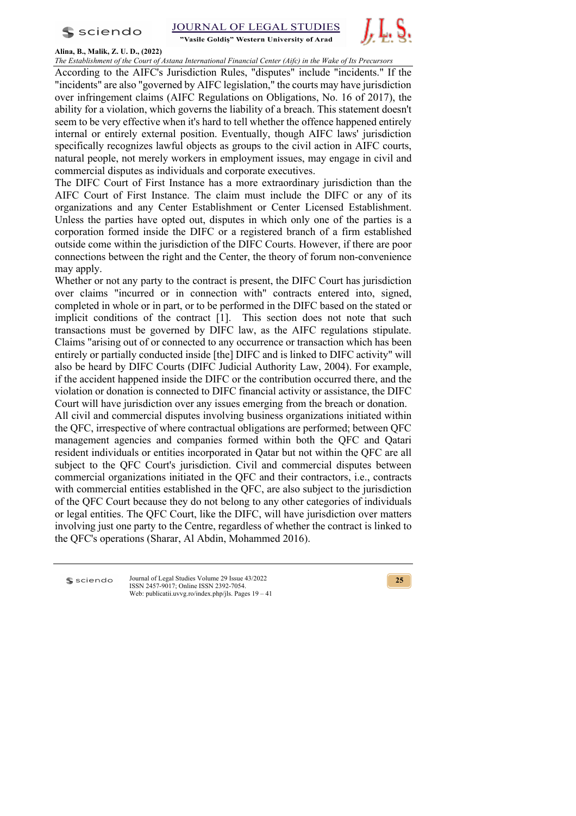



# **Alina, B., Malik, Z. U. D., (2022)**

*The Establishment of the Court of Astana International Financial Center (Aifc) in the Wake of Its Precursors*

According to the AIFC's Jurisdiction Rules, "disputes" include "incidents." If the "incidents" are also "governed by AIFC legislation," the courts may have jurisdiction over infringement claims (AIFC Regulations on Obligations, No. 16 of 2017), the ability for a violation, which governs the liability of a breach. This statement doesn't seem to be very effective when it's hard to tell whether the offence happened entirely internal or entirely external position. Eventually, though AIFC laws' jurisdiction specifically recognizes lawful objects as groups to the civil action in AIFC courts, natural people, not merely workers in employment issues, may engage in civil and commercial disputes as individuals and corporate executives.

The DIFC Court of First Instance has a more extraordinary jurisdiction than the AIFC Court of First Instance. The claim must include the DIFC or any of its organizations and any Center Establishment or Center Licensed Establishment. Unless the parties have opted out, disputes in which only one of the parties is a corporation formed inside the DIFC or a registered branch of a firm established outside come within the jurisdiction of the DIFC Courts. However, if there are poor connections between the right and the Center, the theory of forum non-convenience may apply.

Whether or not any party to the contract is present, the DIFC Court has jurisdiction over claims "incurred or in connection with" contracts entered into, signed, completed in whole or in part, or to be performed in the DIFC based on the stated or implicit conditions of the contract [1]. This section does not note that such transactions must be governed by DIFC law, as the AIFC regulations stipulate. Claims "arising out of or connected to any occurrence or transaction which has been entirely or partially conducted inside [the] DIFC and is linked to DIFC activity" will also be heard by DIFC Courts (DIFC Judicial Authority Law, 2004). For example, if the accident happened inside the DIFC or the contribution occurred there, and the violation or donation is connected to DIFC financial activity or assistance, the DIFC Court will have jurisdiction over any issues emerging from the breach or donation.

All civil and commercial disputes involving business organizations initiated within the QFC, irrespective of where contractual obligations are performed; between QFC management agencies and companies formed within both the QFC and Qatari resident individuals or entities incorporated in Qatar but not within the QFC are all subject to the QFC Court's jurisdiction. Civil and commercial disputes between commercial organizations initiated in the QFC and their contractors, i.e., contracts with commercial entities established in the QFC, are also subject to the jurisdiction of the QFC Court because they do not belong to any other categories of individuals or legal entities. The QFC Court, like the DIFC, will have jurisdiction over matters involving just one party to the Centre, regardless of whether the contract is linked to the QFC's operations (Sharar, Al Abdin, Mohammed 2016).

sciendo

Journal of Legal Studies Volume 29 Issue 43/2022 ISSN 2457-9017; Online ISSN 2392-7054. Web: publicatii.uvvg.ro/index.php/jls. Pages 19 – 41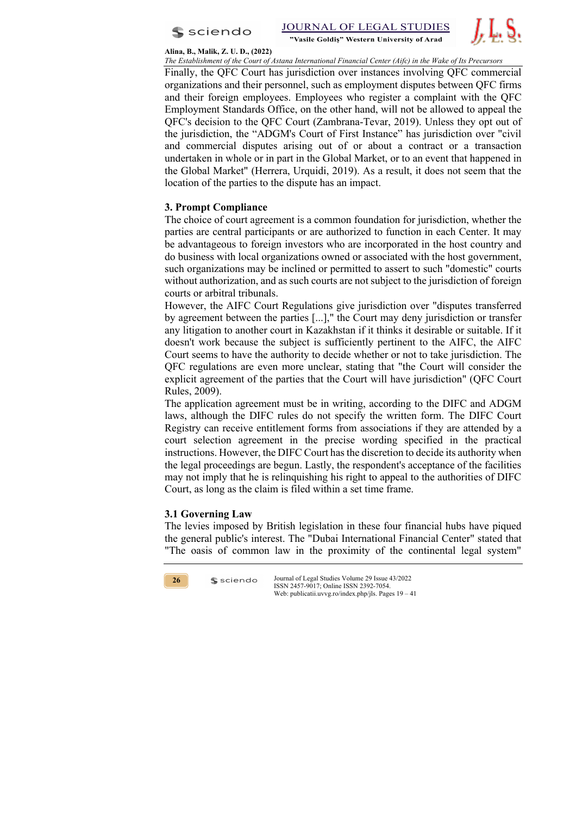

"Vasile Goldis" Western University of Arad



#### **Alina, B., Malik, Z. U. D., (2022)**

*The Establishment of the Court of Astana International Financial Center (Aifc) in the Wake of Its Precursors* 

Finally, the QFC Court has jurisdiction over instances involving QFC commercial organizations and their personnel, such as employment disputes between QFC firms and their foreign employees. Employees who register a complaint with the QFC Employment Standards Office, on the other hand, will not be allowed to appeal the QFC's decision to the QFC Court (Zambrana-Tevar, 2019). Unless they opt out of the jurisdiction, the "ADGM's Court of First Instance" has jurisdiction over "civil and commercial disputes arising out of or about a contract or a transaction undertaken in whole or in part in the Global Market, or to an event that happened in the Global Market" (Herrera, Urquidi, 2019). As a result, it does not seem that the location of the parties to the dispute has an impact.

# **3. Prompt Compliance**

The choice of court agreement is a common foundation for jurisdiction, whether the parties are central participants or are authorized to function in each Center. It may be advantageous to foreign investors who are incorporated in the host country and do business with local organizations owned or associated with the host government, such organizations may be inclined or permitted to assert to such "domestic" courts without authorization, and as such courts are not subject to the jurisdiction of foreign courts or arbitral tribunals.

However, the AIFC Court Regulations give jurisdiction over "disputes transferred by agreement between the parties [...]," the Court may deny jurisdiction or transfer any litigation to another court in Kazakhstan if it thinks it desirable or suitable. If it doesn't work because the subject is sufficiently pertinent to the AIFC, the AIFC Court seems to have the authority to decide whether or not to take jurisdiction. The QFC regulations are even more unclear, stating that "the Court will consider the explicit agreement of the parties that the Court will have jurisdiction" (QFC Court Rules, 2009).

The application agreement must be in writing, according to the DIFC and ADGM laws, although the DIFC rules do not specify the written form. The DIFC Court Registry can receive entitlement forms from associations if they are attended by a court selection agreement in the precise wording specified in the practical instructions. However, the DIFC Court has the discretion to decide its authority when the legal proceedings are begun. Lastly, the respondent's acceptance of the facilities may not imply that he is relinquishing his right to appeal to the authorities of DIFC Court, as long as the claim is filed within a set time frame.

# **3.1 Governing Law**

 $s$  sciendo

The levies imposed by British legislation in these four financial hubs have piqued the general public's interest. The "Dubai International Financial Center" stated that "The oasis of common law in the proximity of the continental legal system"

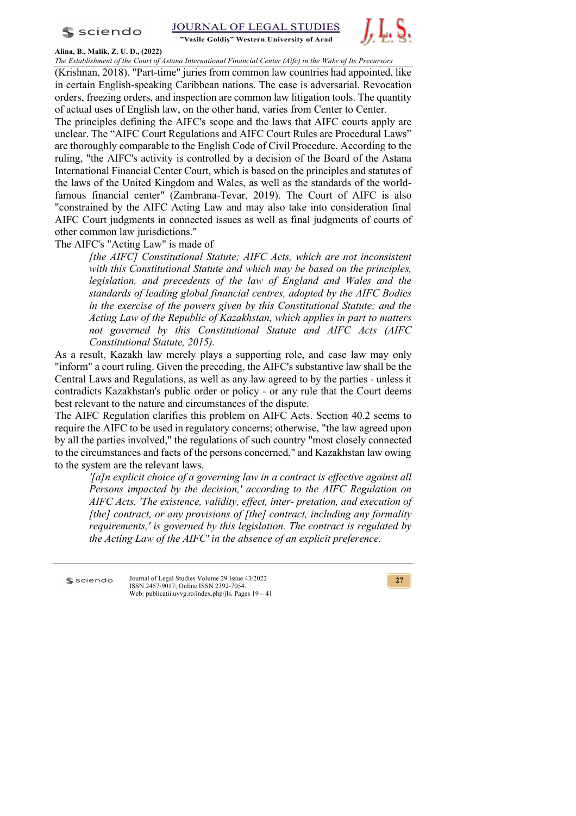$s$  sciendo



## **Alina, B., Malik, Z. U. D., (2022)**

*The Establishment of the Court of Astana International Financial Center (Aifc) in the Wake of Its Precursors*

(Krishnan, 2018). "Part-time" juries from common law countries had appointed, like in certain English-speaking Caribbean nations. The case is adversarial. Revocation orders, freezing orders, and inspection are common law litigation tools. The quantity of actual uses of English law, on the other hand, varies from Center to Center.

The principles defining the AIFC's scope and the laws that AIFC courts apply are unclear. The "AIFC Court Regulations and AIFC Court Rules are Procedural Laws" are thoroughly comparable to the English Code of Civil Procedure. According to the ruling, "the AIFC's activity is controlled by a decision of the Board of the Astana International Financial Center Court, which is based on the principles and statutes of the laws of the United Kingdom and Wales, as well as the standards of the worldfamous financial center" (Zambrana-Tevar, 2019). The Court of AIFC is also "constrained by the AIFC Acting Law and may also take into consideration final AIFC Court judgments in connected issues as well as final judgments of courts of other common law jurisdictions."

The AIFC's "Acting Law" is made of

*[the AIFC] Constitutional Statute; AIFC Acts, which are not inconsistent with this Constitutional Statute and which may be based on the principles, legislation, and precedents of the law of England and Wales and the standards of leading global financial centres, adopted by the AIFC Bodies in the exercise of the powers given by this Constitutional Statute; and the Acting Law of the Republic of Kazakhstan, which applies in part to matters not governed by this Constitutional Statute and AIFC Acts (AIFC Constitutional Statute, 2015).*

As a result, Kazakh law merely plays a supporting role, and case law may only "inform" a court ruling. Given the preceding, the AIFC's substantive law shall be the Central Laws and Regulations, as well as any law agreed to by the parties - unless it contradicts Kazakhstan's public order or policy - or any rule that the Court deems best relevant to the nature and circumstances of the dispute.

The AIFC Regulation clarifies this problem on AIFC Acts. Section 40.2 seems to require the AIFC to be used in regulatory concerns; otherwise, "the law agreed upon by all the parties involved," the regulations of such country "most closely connected to the circumstances and facts of the persons concerned," and Kazakhstan law owing to the system are the relevant laws.

*'[a]n explicit choice of a governing law in a contract is effective against all Persons impacted by the decision,' according to the AIFC Regulation on AIFC Acts. 'The existence, validity, effect, inter- pretation, and execution of [the] contract, or any provisions of [the] contract, including any formality requirements,' is governed by this legislation. The contract is regulated by the Acting Law of the AIFC' in the absence of an explicit preference.*

sciendo

Journal of Legal Studies Volume 29 Issue 43/2022 ISSN 2457-9017; Online ISSN 2392-7054. Web: publicatii.uvvg.ro/index.php/jls. Pages 19 – 41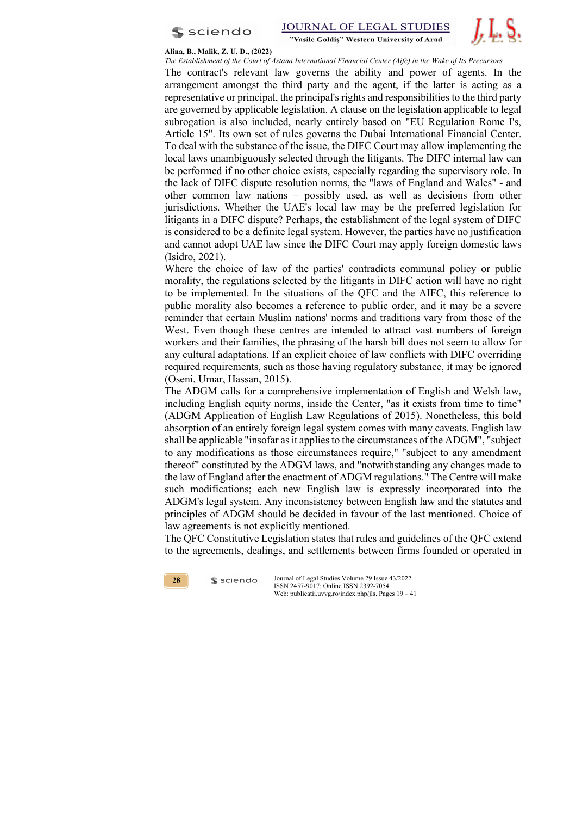



#### **Alina, B., Malik, Z. U. D., (2022)**

*The Establishment of the Court of Astana International Financial Center (Aifc) in the Wake of Its Precursors* 

The contract's relevant law governs the ability and power of agents. In the arrangement amongst the third party and the agent, if the latter is acting as a representative or principal, the principal's rights and responsibilities to the third party are governed by applicable legislation. A clause on the legislation applicable to legal subrogation is also included, nearly entirely based on "EU Regulation Rome I's, Article 15". Its own set of rules governs the Dubai International Financial Center. To deal with the substance of the issue, the DIFC Court may allow implementing the local laws unambiguously selected through the litigants. The DIFC internal law can be performed if no other choice exists, especially regarding the supervisory role. In the lack of DIFC dispute resolution norms, the "laws of England and Wales" - and other common law nations – possibly used, as well as decisions from other jurisdictions. Whether the UAE's local law may be the preferred legislation for litigants in a DIFC dispute? Perhaps, the establishment of the legal system of DIFC is considered to be a definite legal system. However, the parties have no justification and cannot adopt UAE law since the DIFC Court may apply foreign domestic laws (Isidro, 2021).

Where the choice of law of the parties' contradicts communal policy or public morality, the regulations selected by the litigants in DIFC action will have no right to be implemented. In the situations of the QFC and the AIFC, this reference to public morality also becomes a reference to public order, and it may be a severe reminder that certain Muslim nations' norms and traditions vary from those of the West. Even though these centres are intended to attract vast numbers of foreign workers and their families, the phrasing of the harsh bill does not seem to allow for any cultural adaptations. If an explicit choice of law conflicts with DIFC overriding required requirements, such as those having regulatory substance, it may be ignored (Oseni, Umar, Hassan, 2015).

The ADGM calls for a comprehensive implementation of English and Welsh law, including English equity norms, inside the Center, "as it exists from time to time" (ADGM Application of English Law Regulations of 2015). Nonetheless, this bold absorption of an entirely foreign legal system comes with many caveats. English law shall be applicable "insofar as it applies to the circumstances of the ADGM", "subject to any modifications as those circumstances require," "subject to any amendment thereof" constituted by the ADGM laws, and "notwithstanding any changes made to the law of England after the enactment of ADGM regulations." The Centre will make such modifications; each new English law is expressly incorporated into the ADGM's legal system. Any inconsistency between English law and the statutes and principles of ADGM should be decided in favour of the last mentioned. Choice of law agreements is not explicitly mentioned.

The QFC Constitutive Legislation states that rules and guidelines of the QFC extend to the agreements, dealings, and settlements between firms founded or operated in



 $s$  sciendo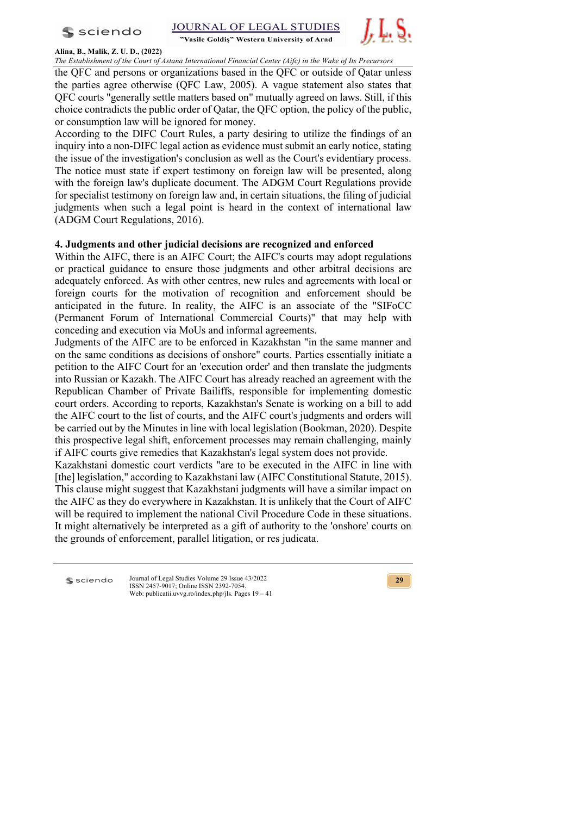



## **Alina, B., Malik, Z. U. D., (2022)**

*The Establishment of the Court of Astana International Financial Center (Aifc) in the Wake of Its Precursors*

the QFC and persons or organizations based in the QFC or outside of Qatar unless the parties agree otherwise (QFC Law, 2005). A vague statement also states that QFC courts "generally settle matters based on" mutually agreed on laws. Still, if this choice contradicts the public order of Qatar, the QFC option, the policy of the public, or consumption law will be ignored for money.

According to the DIFC Court Rules, a party desiring to utilize the findings of an inquiry into a non-DIFC legal action as evidence must submit an early notice, stating the issue of the investigation's conclusion as well as the Court's evidentiary process. The notice must state if expert testimony on foreign law will be presented, along with the foreign law's duplicate document. The ADGM Court Regulations provide for specialist testimony on foreign law and, in certain situations, the filing of judicial judgments when such a legal point is heard in the context of international law (ADGM Court Regulations, 2016).

# **4. Judgments and other judicial decisions are recognized and enforced**

Within the AIFC, there is an AIFC Court; the AIFC's courts may adopt regulations or practical guidance to ensure those judgments and other arbitral decisions are adequately enforced. As with other centres, new rules and agreements with local or foreign courts for the motivation of recognition and enforcement should be anticipated in the future. In reality, the AIFC is an associate of the "SIFoCC (Permanent Forum of International Commercial Courts)" that may help with conceding and execution via MoUs and informal agreements.

Judgments of the AIFC are to be enforced in Kazakhstan "in the same manner and on the same conditions as decisions of onshore" courts. Parties essentially initiate a petition to the AIFC Court for an 'execution order' and then translate the judgments into Russian or Kazakh. The AIFC Court has already reached an agreement with the Republican Chamber of Private Bailiffs, responsible for implementing domestic court orders. According to reports, Kazakhstan's Senate is working on a bill to add the AIFC court to the list of courts, and the AIFC court's judgments and orders will be carried out by the Minutes in line with local legislation (Bookman, 2020). Despite this prospective legal shift, enforcement processes may remain challenging, mainly if AIFC courts give remedies that Kazakhstan's legal system does not provide.

Kazakhstani domestic court verdicts "are to be executed in the AIFC in line with [the] legislation," according to Kazakhstani law (AIFC Constitutional Statute, 2015). This clause might suggest that Kazakhstani judgments will have a similar impact on the AIFC as they do everywhere in Kazakhstan. It is unlikely that the Court of AIFC will be required to implement the national Civil Procedure Code in these situations. It might alternatively be interpreted as a gift of authority to the 'onshore' courts on the grounds of enforcement, parallel litigation, or res judicata.

sciendo

Journal of Legal Studies Volume 29 Issue 43/2022 ISSN 2457-9017; Online ISSN 2392-7054. Web: publicatii.uvvg.ro/index.php/jls. Pages 19 – 41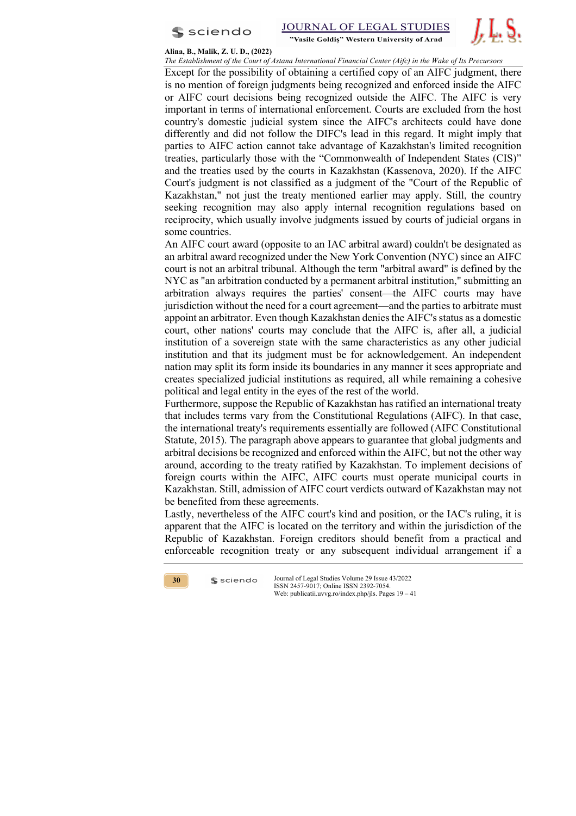



#### **Alina, B., Malik, Z. U. D., (2022)**

*The Establishment of the Court of Astana International Financial Center (Aifc) in the Wake of Its Precursors* 

Except for the possibility of obtaining a certified copy of an AIFC judgment, there is no mention of foreign judgments being recognized and enforced inside the AIFC or AIFC court decisions being recognized outside the AIFC. The AIFC is very important in terms of international enforcement. Courts are excluded from the host country's domestic judicial system since the AIFC's architects could have done differently and did not follow the DIFC's lead in this regard. It might imply that parties to AIFC action cannot take advantage of Kazakhstan's limited recognition treaties, particularly those with the "Commonwealth of Independent States (CIS)" and the treaties used by the courts in Kazakhstan (Kassenova, 2020). If the AIFC Court's judgment is not classified as a judgment of the "Court of the Republic of Kazakhstan," not just the treaty mentioned earlier may apply. Still, the country seeking recognition may also apply internal recognition regulations based on reciprocity, which usually involve judgments issued by courts of judicial organs in some countries.

An AIFC court award (opposite to an IAC arbitral award) couldn't be designated as an arbitral award recognized under the New York Convention (NYC) since an AIFC court is not an arbitral tribunal. Although the term "arbitral award" is defined by the NYC as "an arbitration conducted by a permanent arbitral institution," submitting an arbitration always requires the parties' consent—the AIFC courts may have jurisdiction without the need for a court agreement—and the parties to arbitrate must appoint an arbitrator. Even though Kazakhstan denies the AIFC's status as a domestic court, other nations' courts may conclude that the AIFC is, after all, a judicial institution of a sovereign state with the same characteristics as any other judicial institution and that its judgment must be for acknowledgement. An independent nation may split its form inside its boundaries in any manner it sees appropriate and creates specialized judicial institutions as required, all while remaining a cohesive political and legal entity in the eyes of the rest of the world.

Furthermore, suppose the Republic of Kazakhstan has ratified an international treaty that includes terms vary from the Constitutional Regulations (AIFC). In that case, the international treaty's requirements essentially are followed (AIFC Constitutional Statute, 2015). The paragraph above appears to guarantee that global judgments and arbitral decisions be recognized and enforced within the AIFC, but not the other way around, according to the treaty ratified by Kazakhstan. To implement decisions of foreign courts within the AIFC, AIFC courts must operate municipal courts in Kazakhstan. Still, admission of AIFC court verdicts outward of Kazakhstan may not be benefited from these agreements.

Lastly, nevertheless of the AIFC court's kind and position, or the IAC's ruling, it is apparent that the AIFC is located on the territory and within the jurisdiction of the Republic of Kazakhstan. Foreign creditors should benefit from a practical and enforceable recognition treaty or any subsequent individual arrangement if a



 $s$  sciendo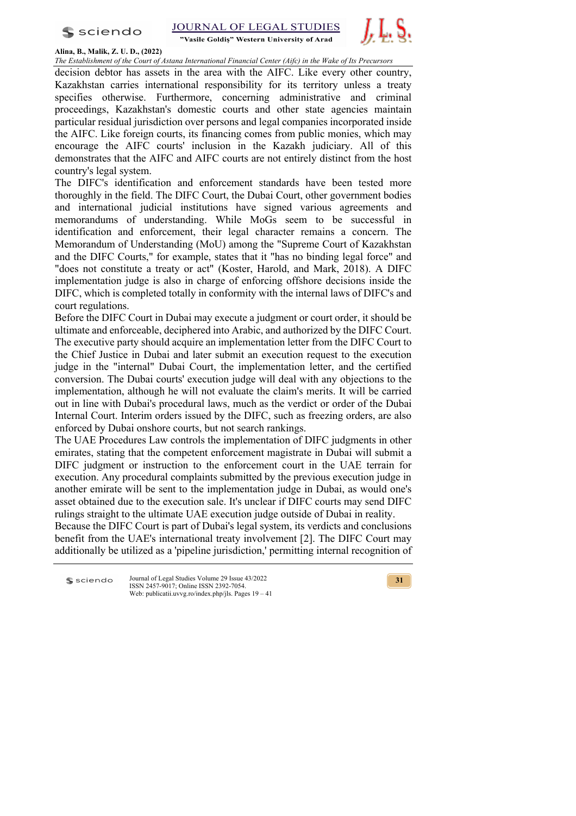$s$  sciendo



## **Alina, B., Malik, Z. U. D., (2022)**

*The Establishment of the Court of Astana International Financial Center (Aifc) in the Wake of Its Precursors*

decision debtor has assets in the area with the AIFC. Like every other country, Kazakhstan carries international responsibility for its territory unless a treaty specifies otherwise. Furthermore, concerning administrative and criminal proceedings, Kazakhstan's domestic courts and other state agencies maintain particular residual jurisdiction over persons and legal companies incorporated inside the AIFC. Like foreign courts, its financing comes from public monies, which may encourage the AIFC courts' inclusion in the Kazakh judiciary. All of this demonstrates that the AIFC and AIFC courts are not entirely distinct from the host country's legal system.

The DIFC's identification and enforcement standards have been tested more thoroughly in the field. The DIFC Court, the Dubai Court, other government bodies and international judicial institutions have signed various agreements and memorandums of understanding. While MoGs seem to be successful in identification and enforcement, their legal character remains a concern. The Memorandum of Understanding (MoU) among the "Supreme Court of Kazakhstan and the DIFC Courts," for example, states that it "has no binding legal force" and "does not constitute a treaty or act" (Koster, Harold, and Mark, 2018). A DIFC implementation judge is also in charge of enforcing offshore decisions inside the DIFC, which is completed totally in conformity with the internal laws of DIFC's and court regulations.

Before the DIFC Court in Dubai may execute a judgment or court order, it should be ultimate and enforceable, deciphered into Arabic, and authorized by the DIFC Court. The executive party should acquire an implementation letter from the DIFC Court to the Chief Justice in Dubai and later submit an execution request to the execution judge in the "internal" Dubai Court, the implementation letter, and the certified conversion. The Dubai courts' execution judge will deal with any objections to the implementation, although he will not evaluate the claim's merits. It will be carried out in line with Dubai's procedural laws, much as the verdict or order of the Dubai Internal Court. Interim orders issued by the DIFC, such as freezing orders, are also enforced by Dubai onshore courts, but not search rankings.

The UAE Procedures Law controls the implementation of DIFC judgments in other emirates, stating that the competent enforcement magistrate in Dubai will submit a DIFC judgment or instruction to the enforcement court in the UAE terrain for execution. Any procedural complaints submitted by the previous execution judge in another emirate will be sent to the implementation judge in Dubai, as would one's asset obtained due to the execution sale. It's unclear if DIFC courts may send DIFC rulings straight to the ultimate UAE execution judge outside of Dubai in reality.

Because the DIFC Court is part of Dubai's legal system, its verdicts and conclusions benefit from the UAE's international treaty involvement [2]. The DIFC Court may additionally be utilized as a 'pipeline jurisdiction,' permitting internal recognition of

Journal of Legal Studies Volume 29 Issue 43/2022 sciendo ISSN 2457-9017; Online ISSN 2392-7054. Web: publicatii.uvvg.ro/index.php/jls. Pages 19 – 41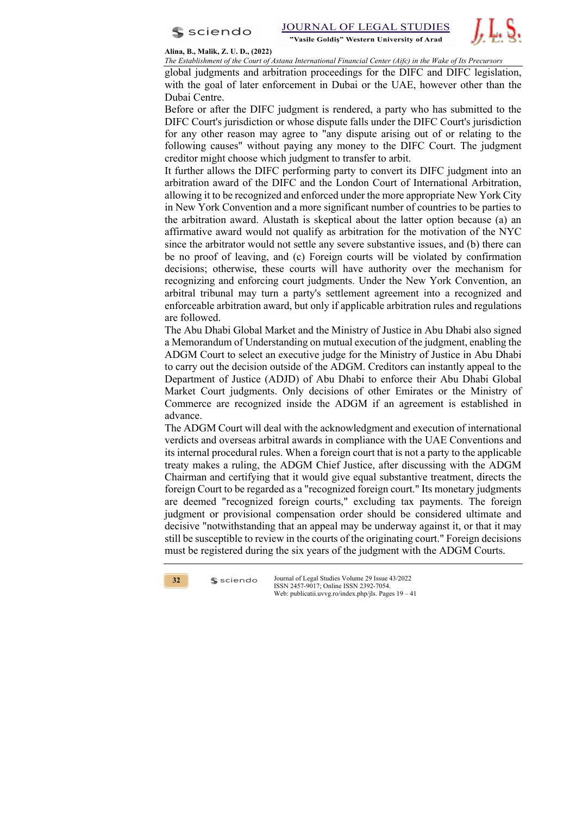



**Alina, B., Malik, Z. U. D., (2022)**

*The Establishment of the Court of Astana International Financial Center (Aifc) in the Wake of Its Precursors* 

global judgments and arbitration proceedings for the DIFC and DIFC legislation, with the goal of later enforcement in Dubai or the UAE, however other than the Dubai Centre.

Before or after the DIFC judgment is rendered, a party who has submitted to the DIFC Court's jurisdiction or whose dispute falls under the DIFC Court's jurisdiction for any other reason may agree to "any dispute arising out of or relating to the following causes" without paying any money to the DIFC Court. The judgment creditor might choose which judgment to transfer to arbit.

It further allows the DIFC performing party to convert its DIFC judgment into an arbitration award of the DIFC and the London Court of International Arbitration, allowing it to be recognized and enforced under the more appropriate New York City in New York Convention and a more significant number of countries to be parties to the arbitration award. Alustath is skeptical about the latter option because (a) an affirmative award would not qualify as arbitration for the motivation of the NYC since the arbitrator would not settle any severe substantive issues, and (b) there can be no proof of leaving, and (c) Foreign courts will be violated by confirmation decisions; otherwise, these courts will have authority over the mechanism for recognizing and enforcing court judgments. Under the New York Convention, an arbitral tribunal may turn a party's settlement agreement into a recognized and enforceable arbitration award, but only if applicable arbitration rules and regulations are followed.

The Abu Dhabi Global Market and the Ministry of Justice in Abu Dhabi also signed a Memorandum of Understanding on mutual execution of the judgment, enabling the ADGM Court to select an executive judge for the Ministry of Justice in Abu Dhabi to carry out the decision outside of the ADGM. Creditors can instantly appeal to the Department of Justice (ADJD) of Abu Dhabi to enforce their Abu Dhabi Global Market Court judgments. Only decisions of other Emirates or the Ministry of Commerce are recognized inside the ADGM if an agreement is established in advance.

The ADGM Court will deal with the acknowledgment and execution of international verdicts and overseas arbitral awards in compliance with the UAE Conventions and its internal procedural rules. When a foreign court that is not a party to the applicable treaty makes a ruling, the ADGM Chief Justice, after discussing with the ADGM Chairman and certifying that it would give equal substantive treatment, directs the foreign Court to be regarded as a "recognized foreign court." Its monetary judgments are deemed "recognized foreign courts," excluding tax payments. The foreign judgment or provisional compensation order should be considered ultimate and decisive "notwithstanding that an appeal may be underway against it, or that it may still be susceptible to review in the courts of the originating court." Foreign decisions must be registered during the six years of the judgment with the ADGM Courts.



 $s$  sciendo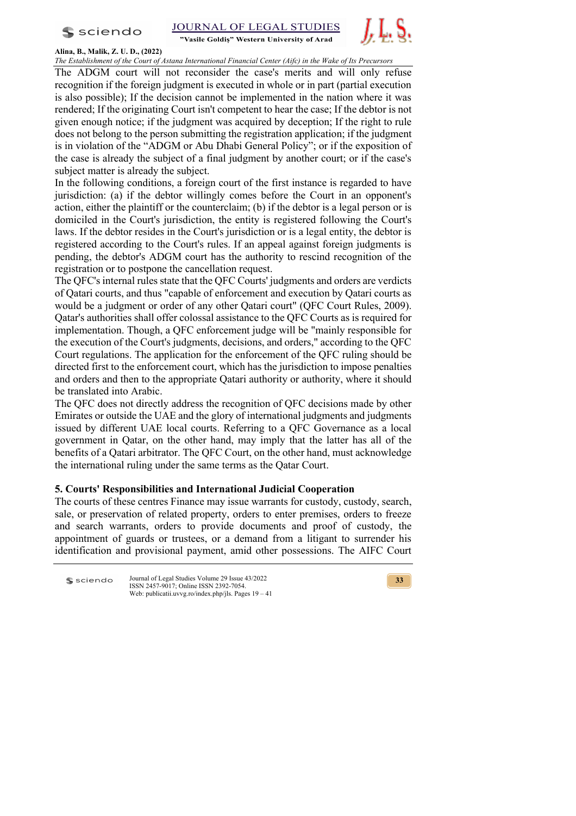



"Vasile Goldis" Western University of Arad **Alina, B., Malik, Z. U. D., (2022)**

*The Establishment of the Court of Astana International Financial Center (Aifc) in the Wake of Its Precursors*

The ADGM court will not reconsider the case's merits and will only refuse recognition if the foreign judgment is executed in whole or in part (partial execution is also possible); If the decision cannot be implemented in the nation where it was rendered; If the originating Court isn't competent to hear the case; If the debtor is not given enough notice; if the judgment was acquired by deception; If the right to rule does not belong to the person submitting the registration application; if the judgment is in violation of the "ADGM or Abu Dhabi General Policy"; or if the exposition of the case is already the subject of a final judgment by another court; or if the case's subject matter is already the subject.

In the following conditions, a foreign court of the first instance is regarded to have jurisdiction: (a) if the debtor willingly comes before the Court in an opponent's action, either the plaintiff or the counterclaim; (b) if the debtor is a legal person or is domiciled in the Court's jurisdiction, the entity is registered following the Court's laws. If the debtor resides in the Court's jurisdiction or is a legal entity, the debtor is registered according to the Court's rules. If an appeal against foreign judgments is pending, the debtor's ADGM court has the authority to rescind recognition of the registration or to postpone the cancellation request.

The QFC's internal rules state that the QFC Courts' judgments and orders are verdicts of Qatari courts, and thus "capable of enforcement and execution by Qatari courts as would be a judgment or order of any other Qatari court" (QFC Court Rules, 2009). Qatar's authorities shall offer colossal assistance to the QFC Courts as is required for implementation. Though, a QFC enforcement judge will be "mainly responsible for the execution of the Court's judgments, decisions, and orders," according to the QFC Court regulations. The application for the enforcement of the QFC ruling should be directed first to the enforcement court, which has the jurisdiction to impose penalties and orders and then to the appropriate Qatari authority or authority, where it should be translated into Arabic.

The QFC does not directly address the recognition of QFC decisions made by other Emirates or outside the UAE and the glory of international judgments and judgments issued by different UAE local courts. Referring to a QFC Governance as a local government in Qatar, on the other hand, may imply that the latter has all of the benefits of a Qatari arbitrator. The QFC Court, on the other hand, must acknowledge the international ruling under the same terms as the Qatar Court.

# **5. Courts' Responsibilities and International Judicial Cooperation**

The courts of these centres Finance may issue warrants for custody, custody, search, sale, or preservation of related property, orders to enter premises, orders to freeze and search warrants, orders to provide documents and proof of custody, the appointment of guards or trustees, or a demand from a litigant to surrender his identification and provisional payment, amid other possessions. The AIFC Court

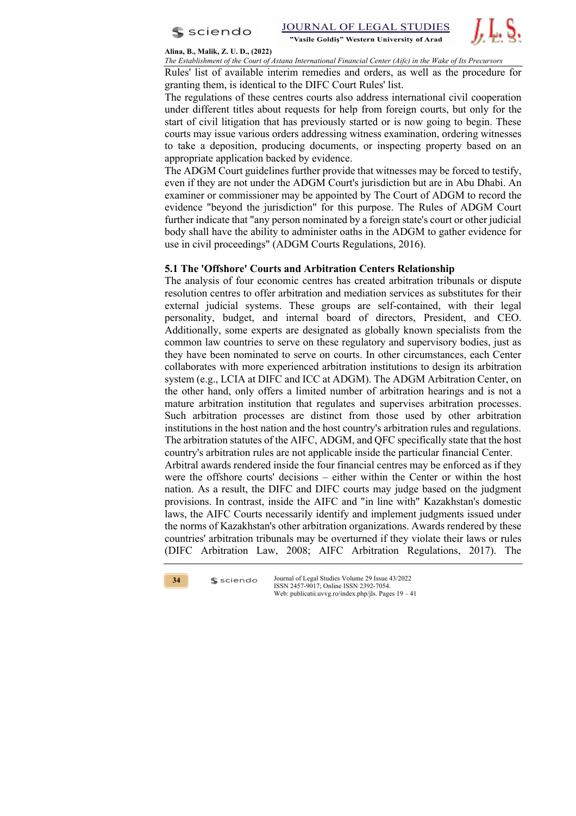



#### **Alina, B., Malik, Z. U. D., (2022)**

*The Establishment of the Court of Astana International Financial Center (Aifc) in the Wake of Its Precursors* 

Rules' list of available interim remedies and orders, as well as the procedure for granting them, is identical to the DIFC Court Rules' list.

The regulations of these centres courts also address international civil cooperation under different titles about requests for help from foreign courts, but only for the start of civil litigation that has previously started or is now going to begin. These courts may issue various orders addressing witness examination, ordering witnesses to take a deposition, producing documents, or inspecting property based on an appropriate application backed by evidence.

The ADGM Court guidelines further provide that witnesses may be forced to testify, even if they are not under the ADGM Court's jurisdiction but are in Abu Dhabi. An examiner or commissioner may be appointed by The Court of ADGM to record the evidence "beyond the jurisdiction" for this purpose. The Rules of ADGM Court further indicate that "any person nominated by a foreign state's court or other judicial body shall have the ability to administer oaths in the ADGM to gather evidence for use in civil proceedings" (ADGM Courts Regulations, 2016).

## **5.1 The 'Offshore' Courts and Arbitration Centers Relationship**

The analysis of four economic centres has created arbitration tribunals or dispute resolution centres to offer arbitration and mediation services as substitutes for their external judicial systems. These groups are self-contained, with their legal personality, budget, and internal board of directors, President, and CEO. Additionally, some experts are designated as globally known specialists from the common law countries to serve on these regulatory and supervisory bodies, just as they have been nominated to serve on courts. In other circumstances, each Center collaborates with more experienced arbitration institutions to design its arbitration system (e.g., LCIA at DIFC and ICC at ADGM). The ADGM Arbitration Center, on the other hand, only offers a limited number of arbitration hearings and is not a mature arbitration institution that regulates and supervises arbitration processes. Such arbitration processes are distinct from those used by other arbitration institutions in the host nation and the host country's arbitration rules and regulations. The arbitration statutes of the AIFC, ADGM, and QFC specifically state that the host country's arbitration rules are not applicable inside the particular financial Center.

Arbitral awards rendered inside the four financial centres may be enforced as if they were the offshore courts' decisions – either within the Center or within the host nation. As a result, the DIFC and DIFC courts may judge based on the judgment provisions. In contrast, inside the AIFC and "in line with" Kazakhstan's domestic laws, the AIFC Courts necessarily identify and implement judgments issued under the norms of Kazakhstan's other arbitration organizations. Awards rendered by these countries' arbitration tribunals may be overturned if they violate their laws or rules (DIFC Arbitration Law, 2008; AIFC Arbitration Regulations, 2017). The



 $s$  sciendo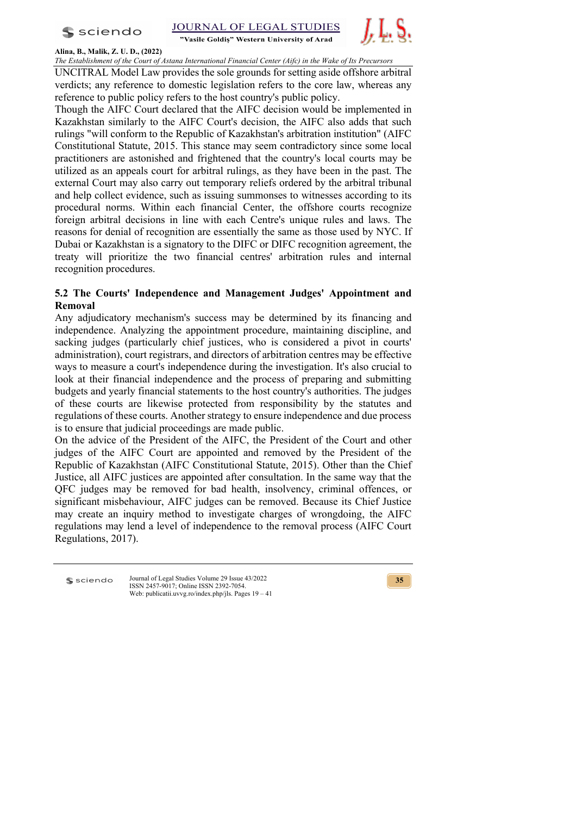$s$  sciendo



# **Alina, B., Malik, Z. U. D., (2022)**

*The Establishment of the Court of Astana International Financial Center (Aifc) in the Wake of Its Precursors*

UNCITRAL Model Law provides the sole grounds for setting aside offshore arbitral verdicts; any reference to domestic legislation refers to the core law, whereas any reference to public policy refers to the host country's public policy.

Though the AIFC Court declared that the AIFC decision would be implemented in Kazakhstan similarly to the AIFC Court's decision, the AIFC also adds that such rulings "will conform to the Republic of Kazakhstan's arbitration institution" (AIFC Constitutional Statute, 2015. This stance may seem contradictory since some local practitioners are astonished and frightened that the country's local courts may be utilized as an appeals court for arbitral rulings, as they have been in the past. The external Court may also carry out temporary reliefs ordered by the arbitral tribunal and help collect evidence, such as issuing summonses to witnesses according to its procedural norms. Within each financial Center, the offshore courts recognize foreign arbitral decisions in line with each Centre's unique rules and laws. The reasons for denial of recognition are essentially the same as those used by NYC. If Dubai or Kazakhstan is a signatory to the DIFC or DIFC recognition agreement, the treaty will prioritize the two financial centres' arbitration rules and internal recognition procedures.

# **5.2 The Courts' Independence and Management Judges' Appointment and Removal**

Any adjudicatory mechanism's success may be determined by its financing and independence. Analyzing the appointment procedure, maintaining discipline, and sacking judges (particularly chief justices, who is considered a pivot in courts' administration), court registrars, and directors of arbitration centres may be effective ways to measure a court's independence during the investigation. It's also crucial to look at their financial independence and the process of preparing and submitting budgets and yearly financial statements to the host country's authorities. The judges of these courts are likewise protected from responsibility by the statutes and regulations of these courts. Another strategy to ensure independence and due process is to ensure that judicial proceedings are made public.

On the advice of the President of the AIFC, the President of the Court and other judges of the AIFC Court are appointed and removed by the President of the Republic of Kazakhstan (AIFC Constitutional Statute, 2015). Other than the Chief Justice, all AIFC justices are appointed after consultation. In the same way that the QFC judges may be removed for bad health, insolvency, criminal offences, or significant misbehaviour, AIFC judges can be removed. Because its Chief Justice may create an inquiry method to investigate charges of wrongdoing, the AIFC regulations may lend a level of independence to the removal process (AIFC Court Regulations, 2017).

sciendo

Journal of Legal Studies Volume 29 Issue 43/2022 ISSN 2457-9017; Online ISSN 2392-7054. Web: publicatii.uvvg.ro/index.php/jls. Pages 19 – 41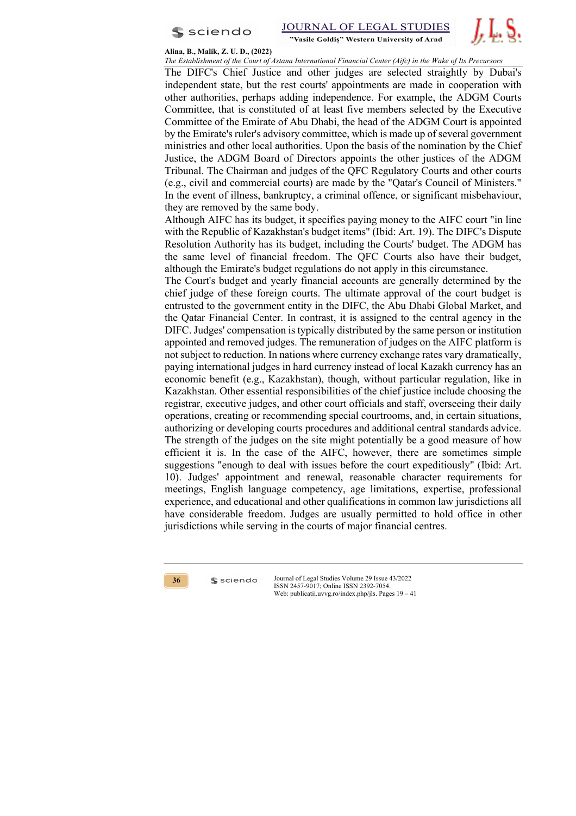



**Alina, B., Malik, Z. U. D., (2022)**

*The Establishment of the Court of Astana International Financial Center (Aifc) in the Wake of Its Precursors* 

The DIFC's Chief Justice and other judges are selected straightly by Dubai's independent state, but the rest courts' appointments are made in cooperation with other authorities, perhaps adding independence. For example, the ADGM Courts Committee, that is constituted of at least five members selected by the Executive Committee of the Emirate of Abu Dhabi, the head of the ADGM Court is appointed by the Emirate's ruler's advisory committee, which is made up of several government ministries and other local authorities. Upon the basis of the nomination by the Chief Justice, the ADGM Board of Directors appoints the other justices of the ADGM Tribunal. The Chairman and judges of the QFC Regulatory Courts and other courts (e.g., civil and commercial courts) are made by the "Qatar's Council of Ministers." In the event of illness, bankruptcy, a criminal offence, or significant misbehaviour, they are removed by the same body.

Although AIFC has its budget, it specifies paying money to the AIFC court "in line with the Republic of Kazakhstan's budget items" (Ibid: Art. 19). The DIFC's Dispute Resolution Authority has its budget, including the Courts' budget. The ADGM has the same level of financial freedom. The QFC Courts also have their budget, although the Emirate's budget regulations do not apply in this circumstance.

The Court's budget and yearly financial accounts are generally determined by the chief judge of these foreign courts. The ultimate approval of the court budget is entrusted to the government entity in the DIFC, the Abu Dhabi Global Market, and the Qatar Financial Center. In contrast, it is assigned to the central agency in the DIFC. Judges' compensation is typically distributed by the same person or institution appointed and removed judges. The remuneration of judges on the AIFC platform is not subject to reduction. In nations where currency exchange rates vary dramatically, paying international judges in hard currency instead of local Kazakh currency has an economic benefit (e.g., Kazakhstan), though, without particular regulation, like in Kazakhstan. Other essential responsibilities of the chief justice include choosing the registrar, executive judges, and other court officials and staff, overseeing their daily operations, creating or recommending special courtrooms, and, in certain situations, authorizing or developing courts procedures and additional central standards advice. The strength of the judges on the site might potentially be a good measure of how efficient it is. In the case of the AIFC, however, there are sometimes simple suggestions "enough to deal with issues before the court expeditiously" (Ibid: Art. 10). Judges' appointment and renewal, reasonable character requirements for meetings, English language competency, age limitations, expertise, professional experience, and educational and other qualifications in common law jurisdictions all have considerable freedom. Judges are usually permitted to hold office in other jurisdictions while serving in the courts of major financial centres.



 $s$  sciendo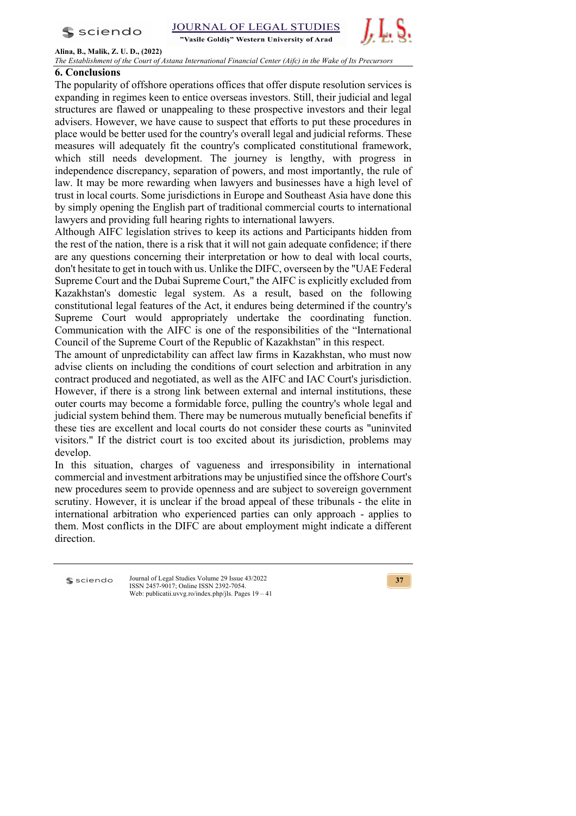$s$  sciendo

"Vasile Goldis" Western University of Arad



**Alina, B., Malik, Z. U. D., (2022)**

*The Establishment of the Court of Astana International Financial Center (Aifc) in the Wake of Its Precursors*

# **6. Conclusions**

The popularity of offshore operations offices that offer dispute resolution services is expanding in regimes keen to entice overseas investors. Still, their judicial and legal structures are flawed or unappealing to these prospective investors and their legal advisers. However, we have cause to suspect that efforts to put these procedures in place would be better used for the country's overall legal and judicial reforms. These measures will adequately fit the country's complicated constitutional framework, which still needs development. The journey is lengthy, with progress in independence discrepancy, separation of powers, and most importantly, the rule of law. It may be more rewarding when lawyers and businesses have a high level of trust in local courts. Some jurisdictions in Europe and Southeast Asia have done this by simply opening the English part of traditional commercial courts to international lawyers and providing full hearing rights to international lawyers.

Although AIFC legislation strives to keep its actions and Participants hidden from the rest of the nation, there is a risk that it will not gain adequate confidence; if there are any questions concerning their interpretation or how to deal with local courts, don't hesitate to get in touch with us. Unlike the DIFC, overseen by the "UAE Federal Supreme Court and the Dubai Supreme Court," the AIFC is explicitly excluded from Kazakhstan's domestic legal system. As a result, based on the following constitutional legal features of the Act, it endures being determined if the country's Supreme Court would appropriately undertake the coordinating function. Communication with the AIFC is one of the responsibilities of the "International Council of the Supreme Court of the Republic of Kazakhstan" in this respect.

The amount of unpredictability can affect law firms in Kazakhstan, who must now advise clients on including the conditions of court selection and arbitration in any contract produced and negotiated, as well as the AIFC and IAC Court's jurisdiction. However, if there is a strong link between external and internal institutions, these outer courts may become a formidable force, pulling the country's whole legal and judicial system behind them. There may be numerous mutually beneficial benefits if these ties are excellent and local courts do not consider these courts as "uninvited visitors." If the district court is too excited about its jurisdiction, problems may develop.

In this situation, charges of vagueness and irresponsibility in international commercial and investment arbitrations may be unjustified since the offshore Court's new procedures seem to provide openness and are subject to sovereign government scrutiny. However, it is unclear if the broad appeal of these tribunals - the elite in international arbitration who experienced parties can only approach - applies to them. Most conflicts in the DIFC are about employment might indicate a different direction.

**S** sciendo

Journal of Legal Studies Volume 29 Issue 43/2022 ISSN 2457-9017; Online ISSN 2392-7054. Web: publicatii.uvvg.ro/index.php/jls. Pages 19 – 41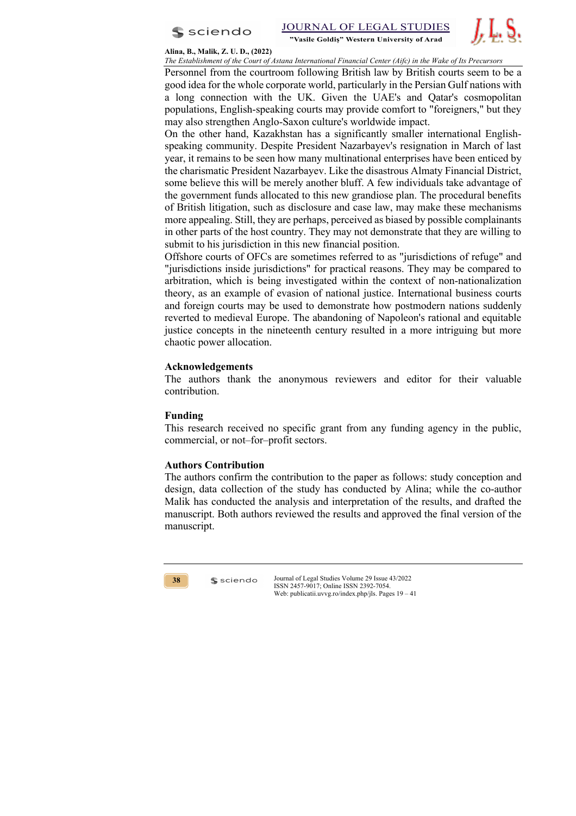



#### **Alina, B., Malik, Z. U. D., (2022)**

*The Establishment of the Court of Astana International Financial Center (Aifc) in the Wake of Its Precursors* 

Personnel from the courtroom following British law by British courts seem to be a good idea for the whole corporate world, particularly in the Persian Gulf nations with a long connection with the UK. Given the UAE's and Qatar's cosmopolitan populations, English-speaking courts may provide comfort to "foreigners," but they may also strengthen Anglo-Saxon culture's worldwide impact.

On the other hand, Kazakhstan has a significantly smaller international Englishspeaking community. Despite President Nazarbayev's resignation in March of last year, it remains to be seen how many multinational enterprises have been enticed by the charismatic President Nazarbayev. Like the disastrous Almaty Financial District, some believe this will be merely another bluff. A few individuals take advantage of the government funds allocated to this new grandiose plan. The procedural benefits of British litigation, such as disclosure and case law, may make these mechanisms more appealing. Still, they are perhaps, perceived as biased by possible complainants in other parts of the host country. They may not demonstrate that they are willing to submit to his jurisdiction in this new financial position.

Offshore courts of OFCs are sometimes referred to as "jurisdictions of refuge" and "jurisdictions inside jurisdictions" for practical reasons. They may be compared to arbitration, which is being investigated within the context of non-nationalization theory, as an example of evasion of national justice. International business courts and foreign courts may be used to demonstrate how postmodern nations suddenly reverted to medieval Europe. The abandoning of Napoleon's rational and equitable justice concepts in the nineteenth century resulted in a more intriguing but more chaotic power allocation.

## **Acknowledgements**

The authors thank the anonymous reviewers and editor for their valuable contribution.

## **Funding**

This research received no specific grant from any funding agency in the public, commercial, or not–for–profit sectors.

## **Authors Contribution**

 $s$  sciendo

The authors confirm the contribution to the paper as follows: study conception and design, data collection of the study has conducted by Alina; while the co-author Malik has conducted the analysis and interpretation of the results, and drafted the manuscript. Both authors reviewed the results and approved the final version of the manuscript.

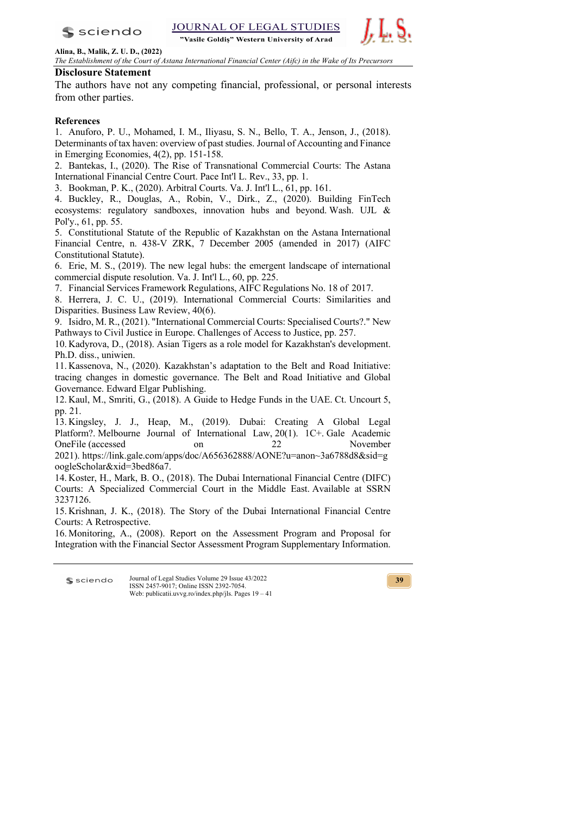$s$  sciendo

**JOURNAL OF LEGAL STUDIES** 

"Vasile Goldiș" Western University of Arad



**Alina, B., Malik, Z. U. D., (2022)**

*The Establishment of the Court of Astana International Financial Center (Aifc) in the Wake of Its Precursors*

## **Disclosure Statement**

The authors have not any competing financial, professional, or personal interests from other parties.

## **References**

1. Anuforo, P. U., Mohamed, I. M., Iliyasu, S. N., Bello, T. A., Jenson, J., (2018). Determinants of tax haven: overview of past studies. Journal of Accounting and Finance in Emerging Economies, 4(2), pp. 151-158.

2. Bantekas, I., (2020). The Rise of Transnational Commercial Courts: The Astana International Financial Centre Court. Pace Int'l L. Rev., 33, pp. 1.

3. Bookman, P. K., (2020). Arbitral Courts. Va. J. Int'l L., 61, pp. 161.

4. Buckley, R., Douglas, A., Robin, V., Dirk., Z., (2020). Building FinTech ecosystems: regulatory sandboxes, innovation hubs and beyond. Wash. UJL & Pol'y., 61, pp. 55.

5. Constitutional Statute of the Republic of Kazakhstan on the Astana International Financial Centre, n. 438-V ZRK, 7 December 2005 (amended in 2017) (AIFC Constitutional Statute).

6. Erie, M. S., (2019). The new legal hubs: the emergent landscape of international commercial dispute resolution. Va. J. Int'l L., 60, pp. 225.

7. Financial Services Framework Regulations, AIFC Regulations No. 18 of 2017.

8. Herrera, J. C. U., (2019). International Commercial Courts: Similarities and Disparities. Business Law Review, 40(6).

9. Isidro, M. R., (2021). "International Commercial Courts: Specialised Courts?." New Pathways to Civil Justice in Europe. Challenges of Access to Justice, pp. 257.

10. Kadyrova, D., (2018). Asian Tigers as a role model for Kazakhstan's development. Ph.D. diss., uniwien.

11. Kassenova, N., (2020). Kazakhstan's adaptation to the Belt and Road Initiative: tracing changes in domestic governance. The Belt and Road Initiative and Global Governance. Edward Elgar Publishing.

12. Kaul, M., Smriti, G., (2018). A Guide to Hedge Funds in the UAE. Ct. Uncourt 5, pp. 21.

13. Kingsley, J. J., Heap, M., (2019). Dubai: Creating A Global Legal Platform? Melbourne Journal of International Law, 20(1). 1C+. Gale Academic OneFile (accessed on 22 OneFile (accessed on 22 November 2021). https://link.gale.com/apps/doc/A656362888/AONE?u=anon~3a6788d8&sid=g oogleScholar&xid=3bed86a7.

14. Koster, H., Mark, B. O., (2018). The Dubai International Financial Centre (DIFC) Courts: A Specialized Commercial Court in the Middle East. Available at SSRN 3237126.

15. Krishnan, J. K., (2018). The Story of the Dubai International Financial Centre Courts: A Retrospective.

16. Monitoring, A., (2008). Report on the Assessment Program and Proposal for Integration with the Financial Sector Assessment Program Supplementary Information.

Journal of Legal Studies Volume 29 Issue 43/2022 sciendo ISSN 2457-9017; Online ISSN 2392-7054. Web: publicatii.uvvg.ro/index.php/jls. Pages 19 – 41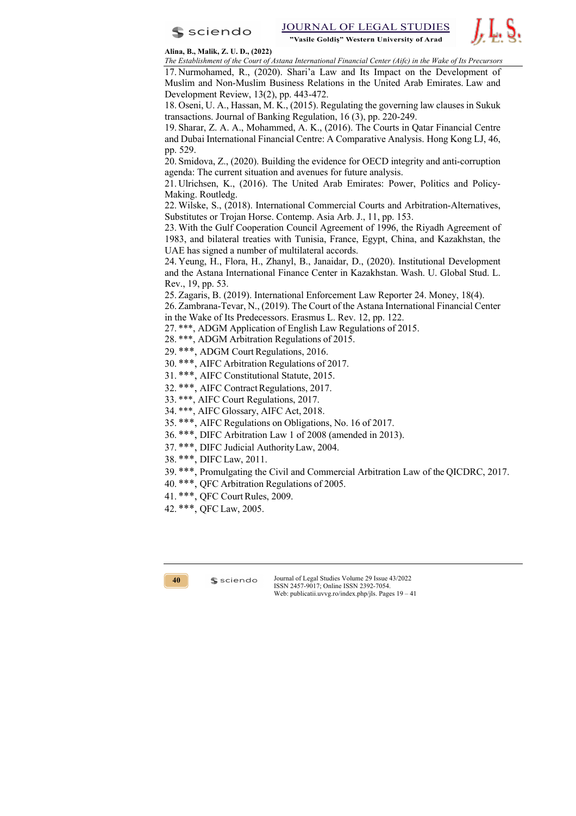



**Alina, B., Malik, Z. U. D., (2022)**

*The Establishment of the Court of Astana International Financial Center (Aifc) in the Wake of Its Precursors*  17. Nurmohamed, R., (2020). Shari'a Law and Its Impact on the Development of Muslim and Non-Muslim Business Relations in the United Arab Emirates. Law and

Development Review, 13(2), pp. 443-472. 18. Oseni, U. A., Hassan, M. K., (2015). Regulating the governing law clauses in Sukuk transactions. Journal of Banking Regulation, 16 (3), pp. 220-249.

19. Sharar, Z. A. A., Mohammed, A. K., (2016). The Courts in Qatar Financial Centre and Dubai International Financial Centre: A Comparative Analysis. Hong Kong LJ, 46, pp. 529.

20. Smidova, Z., (2020). Building the evidence for OECD integrity and anti-corruption agenda: The current situation and avenues for future analysis.

21. Ulrichsen, K., (2016). The United Arab Emirates: Power, Politics and Policy-Making. Routledg.

22. Wilske, S., (2018). International Commercial Courts and Arbitration-Alternatives, Substitutes or Trojan Horse. Contemp. Asia Arb. J., 11, pp. 153.

23. With the Gulf Cooperation Council Agreement of 1996, the Riyadh Agreement of 1983, and bilateral treaties with Tunisia, France, Egypt, China, and Kazakhstan, the UAE has signed a number of multilateral accords.

24. Yeung, H., Flora, H., Zhanyl, B., Janaidar, D., (2020). Institutional Development and the Astana International Finance Center in Kazakhstan. Wash. U. Global Stud. L. Rev., 19, pp. 53.

25. Zagaris, B. (2019). International Enforcement Law Reporter 24. Money, 18(4).

26. Zambrana-Tevar, N., (2019). The Court of the Astana International Financial Center in the Wake of Its Predecessors. Erasmus L. Rev. 12, pp. 122.

27. \*\*\*, ADGM Application of English Law Regulations of 2015.

28. \*\*\*, ADGM Arbitration Regulations of 2015.

29. \*\*\*, ADGM Court Regulations, 2016.

30. \*\*\*, AIFC Arbitration Regulations of 2017.

31. \*\*\*, AIFC Constitutional Statute, 2015.

32. \*\*\*, AIFC Contract Regulations, 2017.

33. \*\*\*, AIFC Court Regulations, 2017.

34. \*\*\*, AIFC Glossary, AIFC Act, 2018.

35. \*\*\*, AIFC Regulations on Obligations, No. 16 of 2017.

36. \*\*\*, DIFC Arbitration Law 1 of 2008 (amended in 2013).

37. \*\*\*, DIFC Judicial AuthorityLaw, 2004.

38. \*\*\*, DIFC Law, 2011.

39. \*\*\*, Promulgating the Civil and Commercial Arbitration Law of the QICDRC, 2017.

40. \*\*\*, QFC Arbitration Regulations of 2005.

41. \*\*\*, QFC Court Rules, 2009.

 $s$  sciendo

42. \*\*\*, QFC Law, 2005.